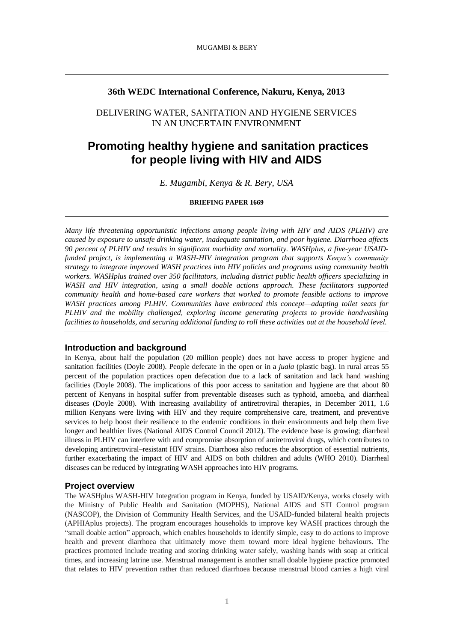# **36th WEDC International Conference, Nakuru, Kenya, 2013**

# DELIVERING WATER, SANITATION AND HYGIENE SERVICES IN AN UNCERTAIN ENVIRONMENT

# **Promoting healthy hygiene and sanitation practices for people living with HIV and AIDS**

*E. Mugambi, Kenya & R. Bery, USA*

#### **BRIEFING PAPER 1669**

*Many life threatening opportunistic infections among people living with HIV and AIDS (PLHIV) are caused by exposure to unsafe drinking water, inadequate sanitation, and poor hygiene. Diarrhoea affects 90 percent of PLHIV and results in significant morbidity and mortality. WASHplus, a five-year USAIDfunded project, is implementing a WASH-HIV integration program that supports Kenya's community strategy to integrate improved WASH practices into HIV policies and programs using community health workers. WASHplus trained over 350 facilitators, including district public health officers specializing in WASH and HIV integration, using a small doable actions approach. These facilitators supported community health and home-based care workers that worked to promote feasible actions to improve WASH practices among PLHIV. Communities have embraced this concept—adapting toilet seats for PLHIV and the mobility challenged, exploring income generating projects to provide handwashing facilities to households, and securing additional funding to roll these activities out at the household level.*

# **Introduction and background**

In Kenya, about half the population (20 million people) does not have access to proper hygiene and sanitation facilities (Doyle 2008). People defecate in the open or in a *juala* (plastic bag). In rural areas 55 percent of the population practices open defecation due to a lack of sanitation and lack hand washing facilities (Doyle 2008). The implications of this poor access to sanitation and hygiene are that about 80 percent of Kenyans in hospital suffer from preventable diseases such as typhoid, amoeba, and diarrheal diseases (Doyle 2008). With increasing availability of antiretroviral therapies, in December 2011, 1.6 million Kenyans were living with HIV and they require comprehensive care, treatment, and preventive services to help boost their resilience to the endemic conditions in their environments and help them live longer and healthier lives (National AIDS Control Council 2012). The evidence base is growing; diarrheal illness in PLHIV can interfere with and compromise absorption of antiretroviral drugs, which contributes to developing antiretroviral–resistant HIV strains. Diarrhoea also reduces the absorption of essential nutrients, further exacerbating the impact of HIV and AIDS on both children and adults (WHO 2010). Diarrheal diseases can be reduced by integrating WASH approaches into HIV programs.

#### **Project overview**

The WASHplus WASH-HIV Integration program in Kenya, funded by USAID/Kenya, works closely with the Ministry of Public Health and Sanitation (MOPHS), National AIDS and STI Control program (NASCOP), the Division of Community Health Services, and the USAID-funded bilateral health projects (APHIAplus projects). The program encourages households to improve key WASH practices through the "small doable action" approach, which enables households to identify simple, easy to do actions to improve health and prevent diarrhoea that ultimately move them toward more ideal hygiene behaviours. The practices promoted include treating and storing drinking water safely, washing hands with soap at critical times, and increasing latrine use. Menstrual management is another small doable hygiene practice promoted that relates to HIV prevention rather than reduced diarrhoea because menstrual blood carries a high viral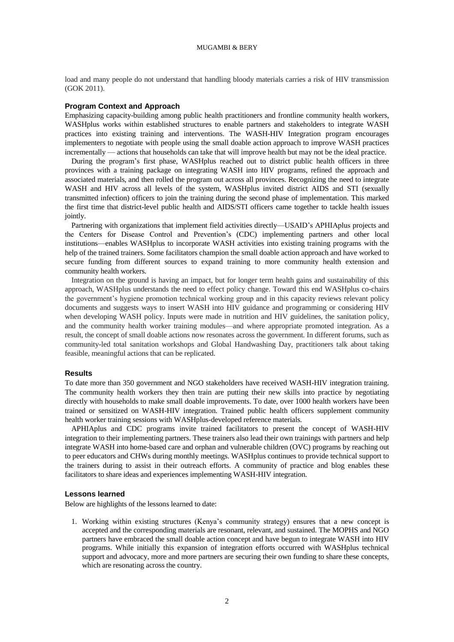load and many people do not understand that handling bloody materials carries a risk of HIV transmission (GOK 2011).

# **Program Context and Approach**

Emphasizing capacity-building among public health practitioners and frontline community health workers, WASHplus works within established structures to enable partners and stakeholders to integrate WASH practices into existing training and interventions. The WASH-HIV Integration program encourages implementers to negotiate with people using the small doable action approach to improve WASH practices incrementally — actions that households can take that will improve health but may not be the ideal practice.

During the program's first phase, WASHplus reached out to district public health officers in three provinces with a training package on integrating WASH into HIV programs, refined the approach and associated materials, and then rolled the program out across all provinces. Recognizing the need to integrate WASH and HIV across all levels of the system, WASHplus invited district AIDS and STI (sexually transmitted infection) officers to join the training during the second phase of implementation. This marked the first time that district-level public health and AIDS/STI officers came together to tackle health issues jointly.

Partnering with organizations that implement field activities directly—USAID's APHIAplus projects and the Centers for Disease Control and Prevention's (CDC) implementing partners and other local institutions—enables WASHplus to incorporate WASH activities into existing training programs with the help of the trained trainers. Some facilitators champion the small doable action approach and have worked to secure funding from different sources to expand training to more community health extension and community health workers.

Integration on the ground is having an impact, but for longer term health gains and sustainability of this approach, WASHplus understands the need to effect policy change. Toward this end WASHplus co-chairs the government's hygiene promotion technical working group and in this capacity reviews relevant policy documents and suggests ways to insert WASH into HIV guidance and programming or considering HIV when developing WASH policy. Inputs were made in nutrition and HIV guidelines, the sanitation policy, and the community health worker training modules—and where appropriate promoted integration. As a result, the concept of small doable actions now resonates across the government. In different forums, such as community-led total sanitation workshops and Global Handwashing Day, practitioners talk about taking feasible, meaningful actions that can be replicated.

#### **Results**

To date more than 350 government and NGO stakeholders have received WASH-HIV integration training. The community health workers they then train are putting their new skills into practice by negotiating directly with households to make small doable improvements. To date, over 1000 health workers have been trained or sensitized on WASH-HIV integration. Trained public health officers supplement community health worker training sessions with WASHplus-developed reference materials.

APHIAplus and CDC programs invite trained facilitators to present the concept of WASH-HIV integration to their implementing partners. These trainers also lead their own trainings with partners and help integrate WASH into home-based care and orphan and vulnerable children (OVC) programs by reaching out to peer educators and CHWs during monthly meetings. WASHplus continues to provide technical support to the trainers during to assist in their outreach efforts. A community of practice and blog enables these facilitators to share ideas and experiences implementing WASH-HIV integration.

#### **Lessons learned**

Below are highlights of the lessons learned to date:

1. Working within existing structures (Kenya's community strategy) ensures that a new concept is accepted and the corresponding materials are resonant, relevant, and sustained. The MOPHS and NGO partners have embraced the small doable action concept and have begun to integrate WASH into HIV programs. While initially this expansion of integration efforts occurred with WASHplus technical support and advocacy, more and more partners are securing their own funding to share these concepts, which are resonating across the country.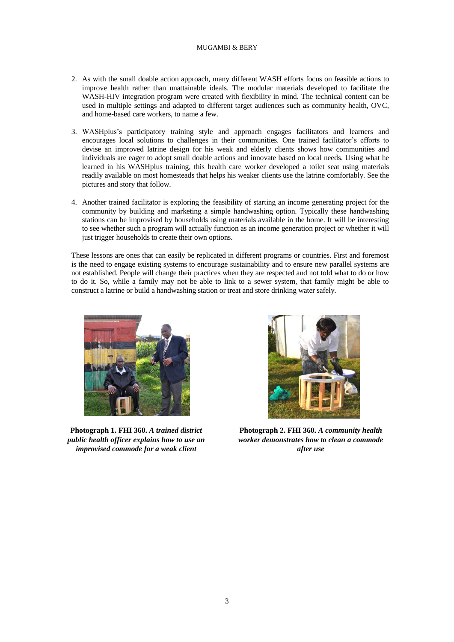# MUGAMBI & BERY

- 2. As with the small doable action approach, many different WASH efforts focus on feasible actions to improve health rather than unattainable ideals. The modular materials developed to facilitate the WASH-HIV integration program were created with flexibility in mind. The technical content can be used in multiple settings and adapted to different target audiences such as community health, OVC, and home-based care workers, to name a few.
- 3. WASHplus's participatory training style and approach engages facilitators and learners and encourages local solutions to challenges in their communities. One trained facilitator's efforts to devise an improved latrine design for his weak and elderly clients shows how communities and individuals are eager to adopt small doable actions and innovate based on local needs. Using what he learned in his WASHplus training, this health care worker developed a toilet seat using materials readily available on most homesteads that helps his weaker clients use the latrine comfortably. See the pictures and story that follow.
- 4. Another trained facilitator is exploring the feasibility of starting an income generating project for the community by building and marketing a simple handwashing option. Typically these handwashing stations can be improvised by households using materials available in the home. It will be interesting to see whether such a program will actually function as an income generation project or whether it will just trigger households to create their own options.

These lessons are ones that can easily be replicated in different programs or countries. First and foremost is the need to engage existing systems to encourage sustainability and to ensure new parallel systems are not established. People will change their practices when they are respected and not told what to do or how to do it. So, while a family may not be able to link to a sewer system, that family might be able to construct a latrine or build a handwashing station or treat and store drinking water safely.



**Photograph 1. FHI 360.** *A trained district public health officer explains how to use an improvised commode for a weak client*



**Photograph 2. FHI 360.** *A community health worker demonstrates how to clean a commode after use*